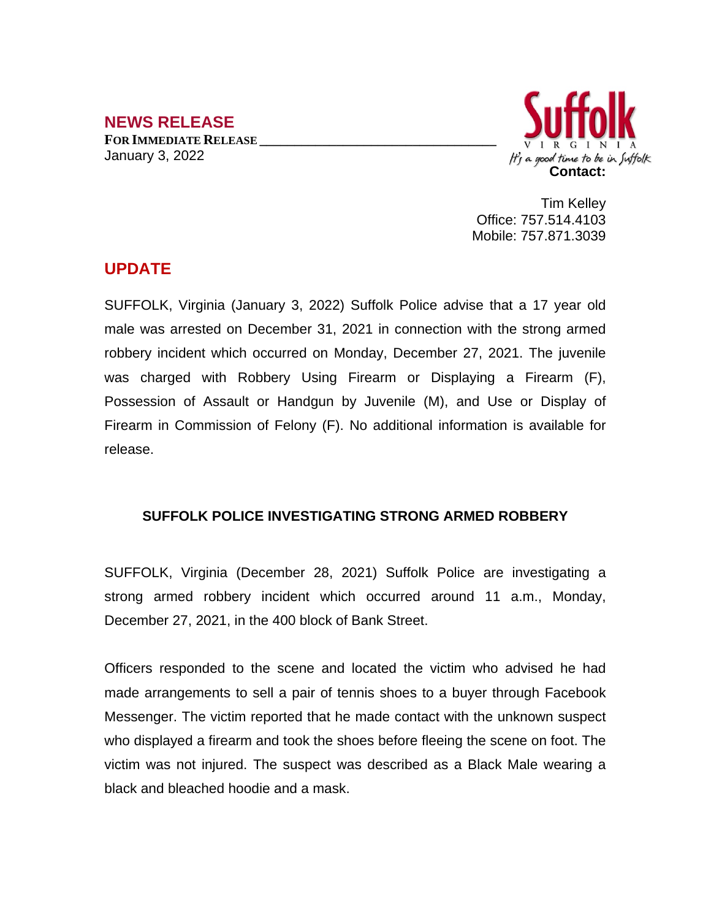## **NEWS RELEASE FOR IMMEDIATE RELEASE \_\_\_\_\_\_\_\_\_\_\_\_\_\_\_\_\_\_\_\_\_\_\_\_\_\_\_\_\_\_\_\_\_\_** January 3, 2022



Tim Kelley Office: 757.514.4103 Mobile: 757.871.3039

## **UPDATE**

SUFFOLK, Virginia (January 3, 2022) Suffolk Police advise that a 17 year old male was arrested on December 31, 2021 in connection with the strong armed robbery incident which occurred on Monday, December 27, 2021. The juvenile was charged with Robbery Using Firearm or Displaying a Firearm (F), Possession of Assault or Handgun by Juvenile (M), and Use or Display of Firearm in Commission of Felony (F). No additional information is available for release.

## **SUFFOLK POLICE INVESTIGATING STRONG ARMED ROBBERY**

SUFFOLK, Virginia (December 28, 2021) Suffolk Police are investigating a strong armed robbery incident which occurred around 11 a.m., Monday, December 27, 2021, in the 400 block of Bank Street.

Officers responded to the scene and located the victim who advised he had made arrangements to sell a pair of tennis shoes to a buyer through Facebook Messenger. The victim reported that he made contact with the unknown suspect who displayed a firearm and took the shoes before fleeing the scene on foot. The victim was not injured. The suspect was described as a Black Male wearing a black and bleached hoodie and a mask.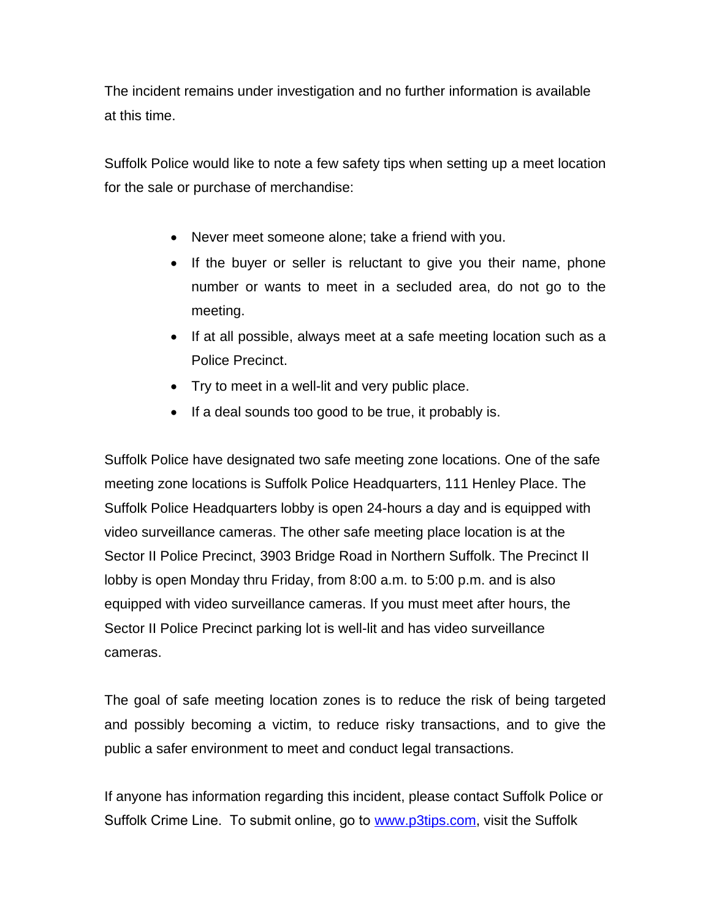The incident remains under investigation and no further information is available at this time.

Suffolk Police would like to note a few safety tips when setting up a meet location for the sale or purchase of merchandise:

- Never meet someone alone; take a friend with you.
- If the buyer or seller is reluctant to give you their name, phone number or wants to meet in a secluded area, do not go to the meeting.
- If at all possible, always meet at a safe meeting location such as a Police Precinct.
- Try to meet in a well-lit and very public place.
- If a deal sounds too good to be true, it probably is.

Suffolk Police have designated two safe meeting zone locations. One of the safe meeting zone locations is Suffolk Police Headquarters, 111 Henley Place. The Suffolk Police Headquarters lobby is open 24-hours a day and is equipped with video surveillance cameras. The other safe meeting place location is at the Sector II Police Precinct, 3903 Bridge Road in Northern Suffolk. The Precinct II lobby is open Monday thru Friday, from 8:00 a.m. to 5:00 p.m. and is also equipped with video surveillance cameras. If you must meet after hours, the Sector II Police Precinct parking lot is well-lit and has video surveillance cameras.

The goal of safe meeting location zones is to reduce the risk of being targeted and possibly becoming a victim, to reduce risky transactions, and to give the public a safer environment to meet and conduct legal transactions.

If anyone has information regarding this incident, please contact Suffolk Police or Suffolk Crime Line. To submit online, go to [www.p3tips.com](http://www.p3tips.com), visit the Suffolk